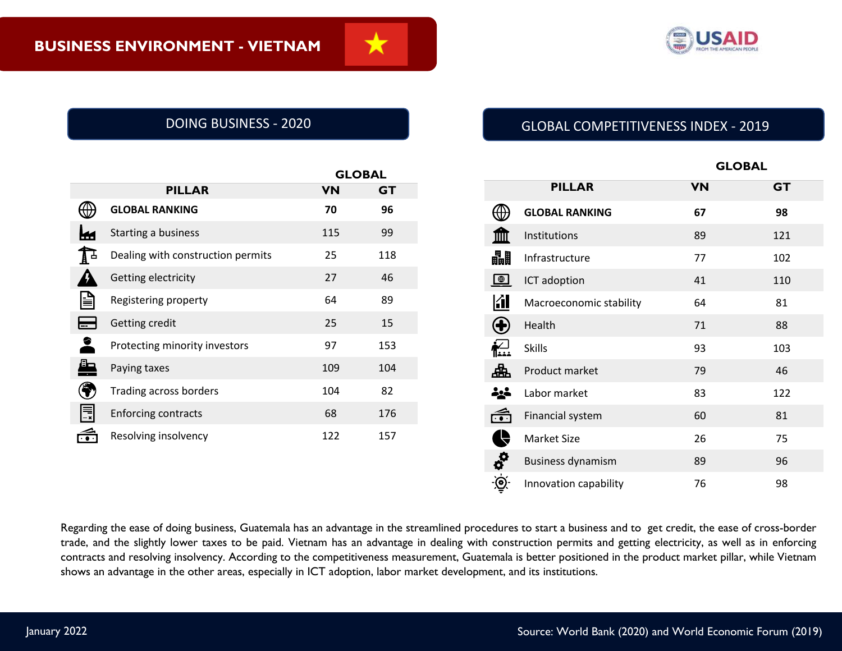

|                    |                                   |           | <b>GLOBAL</b> |  |
|--------------------|-----------------------------------|-----------|---------------|--|
|                    | <b>PILLAR</b>                     | <b>VN</b> | <b>GT</b>     |  |
|                    | <b>GLOBAL RANKING</b>             | 70        | 96            |  |
| m.                 | Starting a business               | 115       | 99            |  |
| $\mathbf{L}% _{T}$ | Dealing with construction permits | 25        | 118           |  |
|                    | Getting electricity               | 27        | 46            |  |
| 旨                  | Registering property              | 64        | 89            |  |
|                    | Getting credit                    | 25        | 15            |  |
| 2                  | Protecting minority investors     | 97        | 153           |  |
| Æ                  | Paying taxes                      | 109       | 104           |  |
|                    | Trading across borders            | 104       | 82            |  |
| I≣                 | <b>Enforcing contracts</b>        | 68        | 176           |  |
|                    | Resolving insolvency              | 122       | 157           |  |
|                    |                                   |           |               |  |

# DOING BUSINESS - 2020 GLOBAL COMPETITIVENESS INDEX - 2019

|                        |                          | <b>GLOBAL</b> |           |  |
|------------------------|--------------------------|---------------|-----------|--|
|                        | <b>PILLAR</b>            | <b>VN</b>     | <b>GT</b> |  |
|                        | <b>GLOBAL RANKING</b>    | 67            | 98        |  |
|                        | Institutions             | 89            | 121       |  |
| 畾                      | Infrastructure           | 77            | 102       |  |
| $\bigoplus$            | ICT adoption             | 41            | 110       |  |
| <b>Kill</b>            | Macroeconomic stability  | 64            | 81        |  |
| $\bf{t}$               | Health                   | 71            | 88        |  |
| <u>ן∕י</u><br>⊪        | <b>Skills</b>            | 93            | 103       |  |
| 曲                      | Product market           | 79            | 46        |  |
|                        | Labor market             | 83            | 122       |  |
| $\widehat{\mathbf{c}}$ | Financial system         | 60            | 81        |  |
| $\overline{C}$         | <b>Market Size</b>       | 26            | 75        |  |
| BO                     | <b>Business dynamism</b> | 89            | 96        |  |
|                        | Innovation capability    | 76            | 98        |  |

Regarding the ease of doing business, Guatemala has an advantage in the streamlined procedures to start a business and to get credit, the ease of cross-border trade, and the slightly lower taxes to be paid. Vietnam has an advantage in dealing with construction permits and getting electricity, as well as in enforcing contracts and resolving insolvency. According to the competitiveness measurement, Guatemala is better positioned in the product market pillar, while Vietnam shows an advantage in the other areas, especially in ICT adoption, labor market development, and its institutions.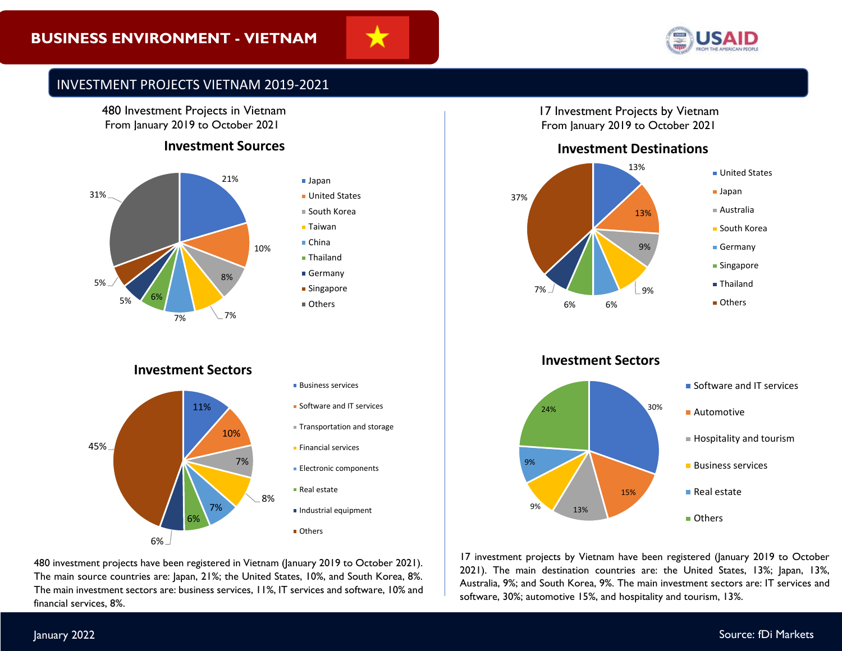# **BUSINESS ENVIRONMENT - VIETNAM**





# INVESTMENT PROJECTS VIETNAM 2019-2021

480 Investment Projects in Vietnam From January 2019 to October 2021

### **Investment Sources**



# **Investment Sectors**

![](_page_1_Figure_8.jpeg)

480 investment projects have been registered in Vietnam (January 2019 to October 2021). The main source countries are: Japan, 21%; the United States, 10%, and South Korea, 8%. The main investment sectors are: business services, 11%, IT services and software, 10% and financial services, 8%.

17 Investment Projects by Vietnam From January 2019 to October 2021

#### **Investment Destinations**

![](_page_1_Figure_12.jpeg)

**Investment Sectors**

![](_page_1_Figure_14.jpeg)

17 investment projects by Vietnam have been registered (January 2019 to October 2021). The main destination countries are: the United States, 13%; Japan, 13%, Australia, 9%; and South Korea, 9%. The main investment sectors are: IT services and software, 30%; automotive 15%, and hospitality and tourism, 13%.

#### January 2022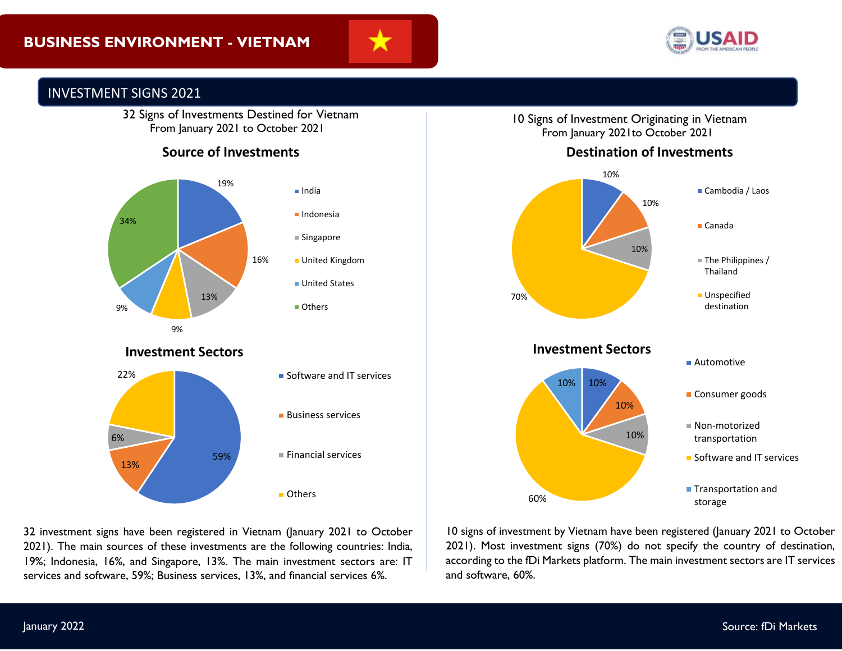![](_page_2_Picture_1.jpeg)

![](_page_2_Picture_2.jpeg)

# INVESTMENT SIGNS 2021

 32 Signs of Investments Destined for Vietnam From January 2021 to October 2021

## **Source of Investments**

![](_page_2_Figure_6.jpeg)

10 Signs of Investment Originating in Vietnam From January 2021to October 2021

![](_page_2_Figure_8.jpeg)

![](_page_2_Figure_9.jpeg)

2021). The main sources of these investments are the following countries: India, 32 investment signs have been registered in Vietnam (January 2021 to October 19%; Indonesia, 16%, and Singapore, 13%. The main investment sectors are: IT services and software, 59%; Business services, 13%, and financial services 6%.

10 signs of investment by Vietnam have been registered (January 2021 to October 2021). Most investment signs (70%) do not specify the country of destination, according to the fDi Markets platform. The main investment sectors are IT services and software, 60%.